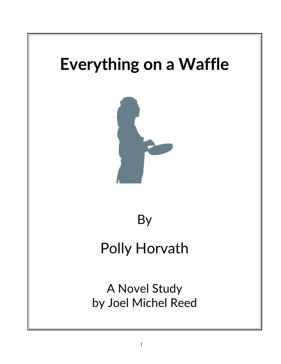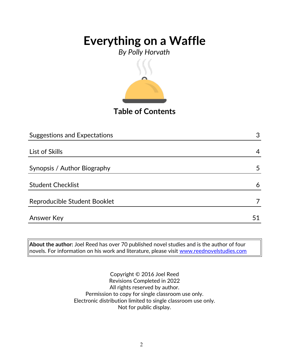*By Polly Horvath*



**Table of Contents**

| <b>Suggestions and Expectations</b> | 3  |
|-------------------------------------|----|
|                                     |    |
| List of Skills                      | 4  |
|                                     |    |
| Synopsis / Author Biography         | 5  |
|                                     |    |
| <b>Student Checklist</b>            | 6  |
| Reproducible Student Booklet        |    |
|                                     |    |
| <b>Answer Key</b>                   | 51 |

**About the author:** Joel Reed has over 70 published novel studies and is the author of four novels. For information on his work and literature, please visit [www.reednovelstudies.com](http://www.reednovelstudies.com/)

> Copyright © 2016 Joel Reed Revisions Completed in 2022 All rights reserved by author. Permission to copy for single classroom use only. Electronic distribution limited to single classroom use only. Not for public display.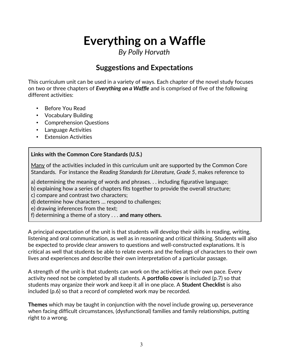*By Polly Horvath*

## **Suggestions and Expectations**

This curriculum unit can be used in a variety of ways. Each chapter of the novel study focuses on two or three chapters of *Everything on a Waffle* and is comprised of five of the following different activities:

- Before You Read
- Vocabulary Building
- Comprehension Questions
- Language Activities
- Extension Activities

#### **Links with the Common Core Standards (U.S.)**

Many of the activities included in this curriculum unit are supported by the Common Core Standards. For instance the *Reading Standards for Literature, Grade 5*, makes reference to

a) determining the meaning of words and phrases. . . including figurative language;

b) explaining how a series of chapters fits together to provide the overall structure;

c) compare and contrast two characters;

d) determine how characters … respond to challenges;

e) drawing inferences from the text;

f) determining a theme of a story . . . **and many others.**

A principal expectation of the unit is that students will develop their skills in reading, writing, listening and oral communication, as well as in reasoning and critical thinking. Students will also be expected to provide clear answers to questions and well-constructed explanations. It is critical as well that students be able to relate events and the feelings of characters to their own lives and experiences and describe their own interpretation of a particular passage.

A strength of the unit is that students can work on the activities at their own pace. Every activity need not be completed by all students. A **portfolio cover** is included (p.7) so that students may organize their work and keep it all in one place. A **Student Checklist** is also included (p.6) so that a record of completed work may be recorded.

**Themes** which may be taught in conjunction with the novel include growing up, perseverance when facing difficult circumstances, (dysfunctional) families and family relationships, putting right to a wrong.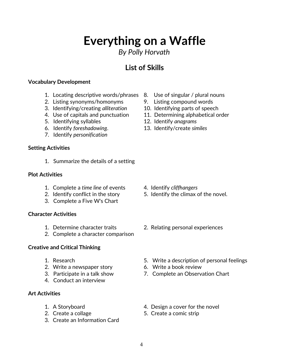*By Polly Horvath*

## **List of Skills**

#### **Vocabulary Development**

- 1. Locating descriptive words/phrases 8. Use of singular / plural nouns
- 2. Listing synonyms/homonyms 9. Listing compound words
- 3. Identifying/creating *alliteration* 10. Identifying parts of speech
- 
- 5. Identifying syllables 12. Identify *anagrams*
- 6. Identify *foreshadowing*. 13. Identify/create *similes*
- 7. Identify *personification*

### **Setting Activities**

1. Summarize the details of a setting

### **Plot Activities**

- 1. Complete a *time line* of events 4. Identify *cliffhangers*
- 
- 3. Complete a Five W's Chart

### **Character Activities**

- 
- 2. Complete a character comparison

### **Creative and Critical Thinking**

- 
- 2. Write a newspaper story 6. Write a book review
- 
- 4. Conduct an interview

### **Art Activities**

- 
- 
- 3. Create an Information Card
- 
- 
- 
- 4. Use of capitals and punctuation 11. Determining alphabetical order
	-
	-

- 
- 2. Identify conflict in the story 5. Identify the climax of the novel.
- 1. Determine character traits 2. Relating personal experiences
- 1. Research 5. Write a description of personal feelings
	-
- 3. Participate in a talk show 7. Complete an Observation Chart
- 1. A Storyboard **1.** A Storyboard **1.** A Storyboard
- 2. Create a collage 5. Create a comic strip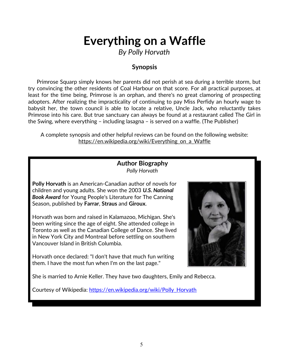*By Polly Horvath*

### **Synopsis**

 Primrose Squarp simply knows her parents did not perish at sea during a terrible storm, but try convincing the other residents of Coal Harbour on that score. For all practical purposes, at least for the time being, Primrose is an orphan, and there's no great clamoring of prospecting adopters. After realizing the impracticality of continuing to pay Miss Perfidy an hourly wage to babysit her, the town council is able to locate a relative, Uncle Jack, who reluctantly takes Primrose into his care. But true sanctuary can always be found at a restaurant called The Girl in the Swing, where everything – including lasagna – is served on a waffle. (The Publisher)

A complete synopsis and other helpful reviews can be found on the following website: https://en.wikipedia.org/wiki/Everything on a Waffle

### **Author Biography** *Polly Horvath*

**Polly Horvath** is an American-Canadian author of novels for children and young adults. She won the 2003 *U.S. National Book Award* for Young People's Literature for The Canning Season, published by **Farrar**, **Straus** and **Giroux**.

Horvath was born and raised in Kalamazoo, Michigan. She's been writing since the age of eight. She attended college in Toronto as well as the Canadian College of Dance. She lived in New York City and Montreal before settling on southern Vancouver Island in British Columbia.

Horvath once declared: "I don't have that much fun writing them. I have the most fun when I'm on the last page."



She is married to Arnie Keller. They have two daughters, Emily and Rebecca.

Courtesy of Wikipedia: [https://en.wikipedia.org/wiki/Polly\\_Horvath](https://en.wikipedia.org/wiki/Polly_Horvath)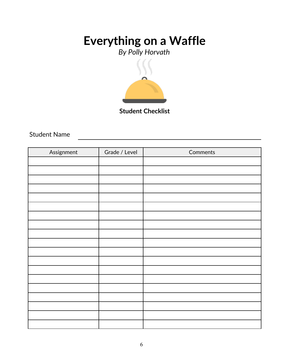*By Polly Horvath*



**Student Checklist**

Student Name

| Assignment | Grade / Level | Comments |
|------------|---------------|----------|
|            |               |          |
|            |               |          |
|            |               |          |
|            |               |          |
|            |               |          |
|            |               |          |
|            |               |          |
|            |               |          |
|            |               |          |
|            |               |          |
|            |               |          |
|            |               |          |
|            |               |          |
|            |               |          |
|            |               |          |
|            |               |          |
|            |               |          |
|            |               |          |
|            |               |          |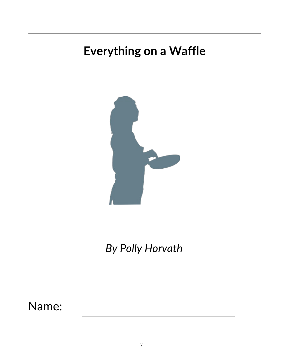

*By Polly Horvath*

Name: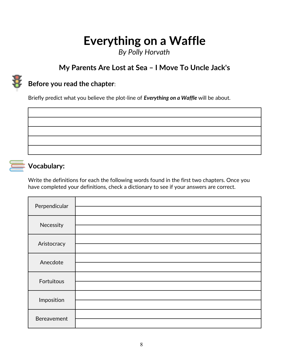*By Polly Horvath*

## **My Parents Are Lost at Sea – I Move To Uncle Jack's**



## **Before you read the chapter**:

Briefly predict what you believe the plot-line of *Everything on a Waffle* will be about.



### **Vocabulary:**

Write the definitions for each the following words found in the first two chapters. Once you have completed your definitions, check a dictionary to see if your answers are correct.

| Perpendicular |  |
|---------------|--|
|               |  |
| Necessity     |  |
|               |  |
| Aristocracy   |  |
|               |  |
| Anecdote      |  |
|               |  |
| Fortuitous    |  |
|               |  |
| Imposition    |  |
|               |  |
| Bereavement   |  |
|               |  |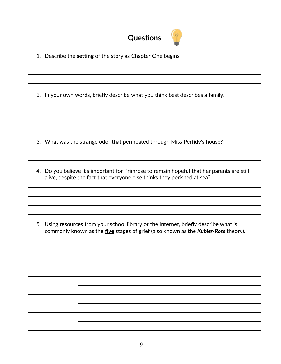

1. Describe the **setting** of the story as Chapter One begins.

2. In your own words, briefly describe what you think best describes a family.

3. What was the strange odor that permeated through Miss Perfidy's house?

4. Do you believe it's important for Primrose to remain hopeful that her parents are still alive, despite the fact that everyone else thinks they perished at sea?

5. Using resources from your school library or the Internet, briefly describe what is commonly known as the **five** stages of grief (also known as the *Kubler-Ross* theory).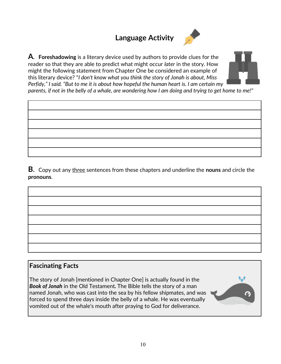## **Language Activity**



**A. Foreshadowing** is a literary device used by authors to provide clues for the reader so that they are able to predict what might occur *later* in the story. How might the following statement from Chapter One be considered an example of this literary device? "*I don't know what you think the story of Jonah is about, Miss Perfidy," I said. "But to me it is about how hopeful the human heart is. I am certain my*



*parents, if not in the belly of a whale, are wondering how I am doing and trying to get home to me!*"

**B**. Copy out any three sentences from these chapters and underline the **nouns** and circle the **pronouns**.

# **Fascinating Facts**

The story of Jonah [mentioned in Chapter One] is actually found in the *Book of Jonah* in the Old Testament*.* The Bible tells the story of a man named Jonah, who was cast into the sea by his fellow shipmates, and was forced to spend three days inside the belly of a whale. He was eventually vomited out of the whale's mouth after praying to God for deliverance.

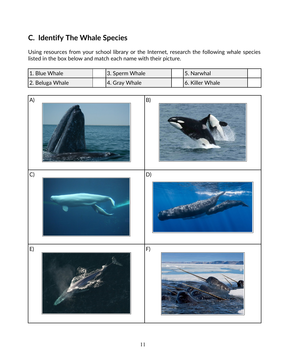## **C. Identify The Whale Species**

Using resources from your school library or the Internet, research the following whale species listed in the box below and match each name with their picture.

| 1. Blue Whale   | $ 3.$ Sperm Whale | 5. Narwhal      |  |
|-----------------|-------------------|-----------------|--|
| 2. Beluga Whale | 4. Gray Whale     | 6. Killer Whale |  |